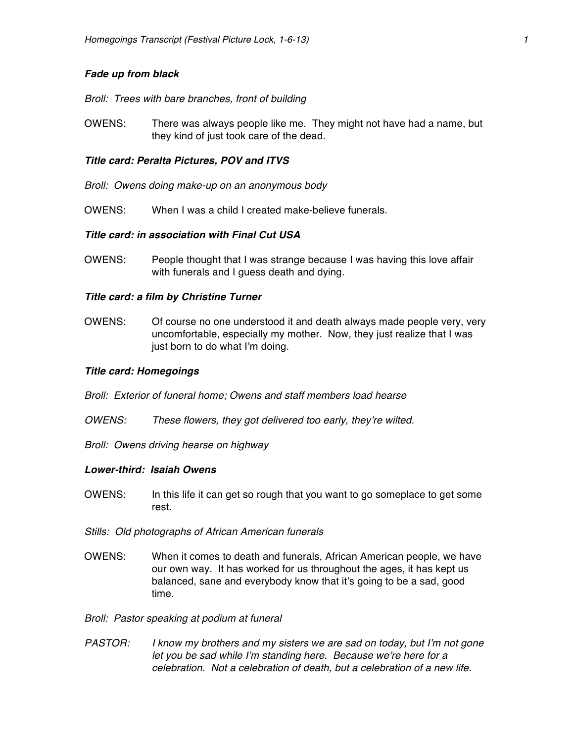## *Fade up from black*

*Broll: Trees with bare branches, front of building*

OWENS: There was always people like me. They might not have had a name, but they kind of just took care of the dead.

## *Title card: Peralta Pictures, POV and ITVS*

- *Broll: Owens doing make-up on an anonymous body*
- OWENS: When I was a child I created make-believe funerals.

### *Title card: in association with Final Cut USA*

OWENS: People thought that I was strange because I was having this love affair with funerals and I guess death and dying.

#### *Title card: a film by Christine Turner*

OWENS: Of course no one understood it and death always made people very, very uncomfortable, especially my mother. Now, they just realize that I was just born to do what I'm doing.

#### *Title card: Homegoings*

*Broll: Exterior of funeral home; Owens and staff members load hearse* 

- *OWENS: These flowers, they got delivered too early, they're wilted.*
- *Broll: Owens driving hearse on highway*

### *Lower-third: Isaiah Owens*

- OWENS: In this life it can get so rough that you want to go someplace to get some rest.
- *Stills: Old photographs of African American funerals*
- OWENS: When it comes to death and funerals, African American people, we have our own way. It has worked for us throughout the ages, it has kept us balanced, sane and everybody know that it's going to be a sad, good time.
- *Broll: Pastor speaking at podium at funeral*
- *PASTOR: I know my brothers and my sisters we are sad on today, but I'm not gone let you be sad while I'm standing here. Because we're here for a celebration. Not a celebration of death, but a celebration of a new life.*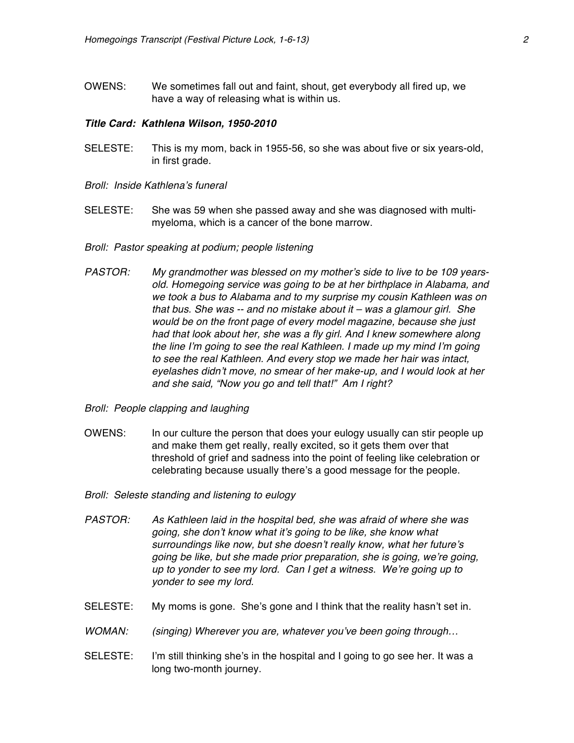OWENS: We sometimes fall out and faint, shout, get everybody all fired up, we have a way of releasing what is within us.

#### *Title Card: Kathlena Wilson, 1950-2010*

- SELESTE: This is my mom, back in 1955-56, so she was about five or six years-old, in first grade.
- *Broll: Inside Kathlena's funeral*
- SELESTE: She was 59 when she passed away and she was diagnosed with multimyeloma, which is a cancer of the bone marrow.
- *Broll: Pastor speaking at podium; people listening*
- *PASTOR: My grandmother was blessed on my mother's side to live to be 109 yearsold. Homegoing service was going to be at her birthplace in Alabama, and we took a bus to Alabama and to my surprise my cousin Kathleen was on that bus. She was -- and no mistake about it – was a glamour girl. She would be on the front page of every model magazine, because she just had that look about her, she was a fly girl. And I knew somewhere along the line I'm going to see the real Kathleen. I made up my mind I'm going to see the real Kathleen. And every stop we made her hair was intact, eyelashes didn't move, no smear of her make-up, and I would look at her and she said, "Now you go and tell that!" Am I right?*
- *Broll: People clapping and laughing*
- OWENS: In our culture the person that does your eulogy usually can stir people up and make them get really, really excited, so it gets them over that threshold of grief and sadness into the point of feeling like celebration or celebrating because usually there's a good message for the people.
- *Broll: Seleste standing and listening to eulogy*
- *PASTOR: As Kathleen laid in the hospital bed, she was afraid of where she was going, she don't know what it's going to be like, she know what surroundings like now, but she doesn't really know, what her future's going be like, but she made prior preparation, she is going, we're going, up to yonder to see my lord. Can I get a witness. We're going up to yonder to see my lord.*
- SELESTE: My moms is gone. She's gone and I think that the reality hasn't set in.
- *WOMAN: (singing) Wherever you are, whatever you've been going through…*
- SELESTE: I'm still thinking she's in the hospital and I going to go see her. It was a long two-month journey.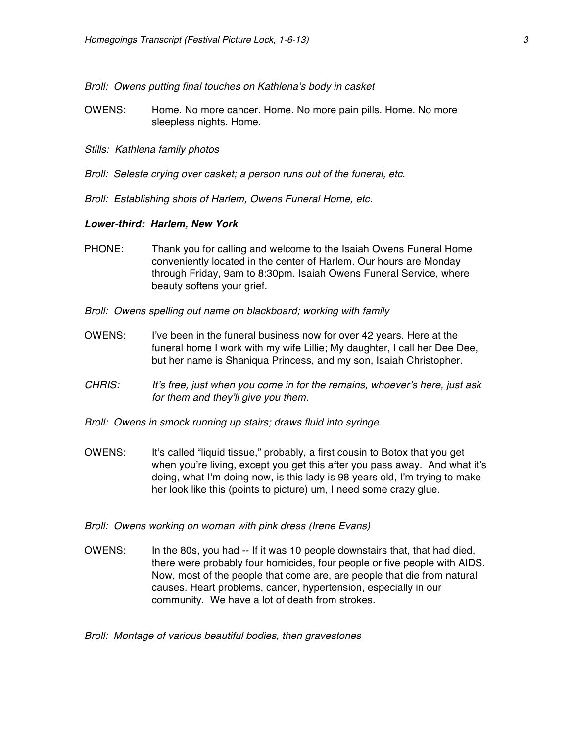#### *Broll: Owens putting final touches on Kathlena's body in casket*

- OWENS: Home. No more cancer. Home. No more pain pills. Home. No more sleepless nights. Home.
- *Stills: Kathlena family photos*
- *Broll: Seleste crying over casket; a person runs out of the funeral, etc.*
- *Broll: Establishing shots of Harlem, Owens Funeral Home, etc.*

### *Lower-third: Harlem, New York*

- PHONE: Thank you for calling and welcome to the Isaiah Owens Funeral Home conveniently located in the center of Harlem. Our hours are Monday through Friday, 9am to 8:30pm. Isaiah Owens Funeral Service, where beauty softens your grief.
- *Broll: Owens spelling out name on blackboard; working with family*
- OWENS: I've been in the funeral business now for over 42 years. Here at the funeral home I work with my wife Lillie; My daughter, I call her Dee Dee, but her name is Shaniqua Princess, and my son, Isaiah Christopher.
- *CHRIS: It's free, just when you come in for the remains, whoever's here, just ask for them and they'll give you them.*
- *Broll: Owens in smock running up stairs; draws fluid into syringe.*
- OWENS: It's called "liquid tissue," probably, a first cousin to Botox that you get when you're living, except you get this after you pass away. And what it's doing, what I'm doing now, is this lady is 98 years old, I'm trying to make her look like this (points to picture) um, I need some crazy glue.
- *Broll: Owens working on woman with pink dress (Irene Evans)*
- OWENS: In the 80s, you had -- If it was 10 people downstairs that, that had died, there were probably four homicides, four people or five people with AIDS. Now, most of the people that come are, are people that die from natural causes. Heart problems, cancer, hypertension, especially in our community. We have a lot of death from strokes.

*Broll: Montage of various beautiful bodies, then gravestones*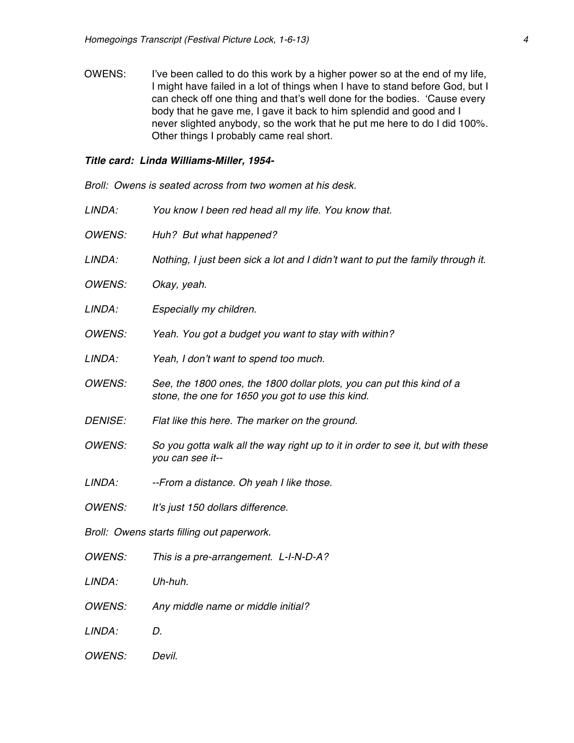OWENS: I've been called to do this work by a higher power so at the end of my life, I might have failed in a lot of things when I have to stand before God, but I can check off one thing and that's well done for the bodies. 'Cause every body that he gave me, I gave it back to him splendid and good and I never slighted anybody, so the work that he put me here to do I did 100%. Other things I probably came real short.

# *Title card: Linda Williams-Miller, 1954-*

| Broll: Owens is seated across from two women at his desk. |                                                                                                                            |
|-----------------------------------------------------------|----------------------------------------------------------------------------------------------------------------------------|
| LINDA:                                                    | You know I been red head all my life. You know that.                                                                       |
| <b>OWENS:</b>                                             | Huh? But what happened?                                                                                                    |
| LINDA:                                                    | Nothing, I just been sick a lot and I didn't want to put the family through it.                                            |
| <b>OWENS:</b>                                             | Okay, yeah.                                                                                                                |
| LINDA:                                                    | Especially my children.                                                                                                    |
| <b>OWENS:</b>                                             | Yeah. You got a budget you want to stay with within?                                                                       |
| LINDA:                                                    | Yeah, I don't want to spend too much.                                                                                      |
| <b>OWENS:</b>                                             | See, the 1800 ones, the 1800 dollar plots, you can put this kind of a<br>stone, the one for 1650 you got to use this kind. |
| <b>DENISE:</b>                                            | Flat like this here. The marker on the ground.                                                                             |
| <b>OWENS:</b>                                             | So you gotta walk all the way right up to it in order to see it, but with these<br>you can see it--                        |
| LINDA:                                                    | --From a distance. Oh yeah I like those.                                                                                   |
| <b>OWENS:</b>                                             | It's just 150 dollars difference.                                                                                          |
| Broll: Owens starts filling out paperwork.                |                                                                                                                            |
| <b>OWENS:</b>                                             | This is a pre-arrangement. L-I-N-D-A?                                                                                      |
| LINDA:                                                    | Uh-huh.                                                                                                                    |
| <b>OWENS:</b>                                             | Any middle name or middle initial?                                                                                         |
| LINDA:                                                    | D.                                                                                                                         |
| <b>OWENS:</b>                                             | Devil.                                                                                                                     |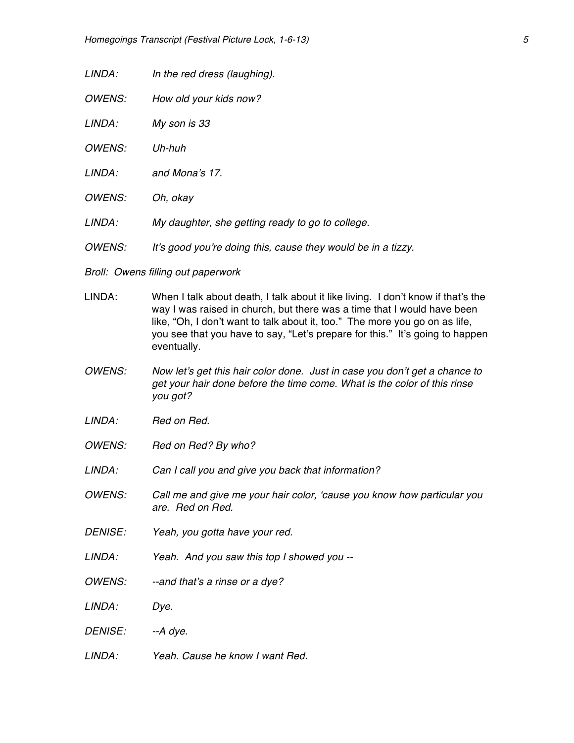*LINDA: In the red dress (laughing).*

*OWENS: How old your kids now?*

*LINDA: My son is 33*

*OWENS: Uh-huh*

- *LINDA: and Mona's 17.*
- *OWENS: Oh, okay*
- *LINDA: My daughter, she getting ready to go to college.*
- *OWENS: It's good you're doing this, cause they would be in a tizzy.*
- *Broll: Owens filling out paperwork*
- LINDA: When I talk about death, I talk about it like living. I don't know if that's the way I was raised in church, but there was a time that I would have been like, "Oh, I don't want to talk about it, too." The more you go on as life, you see that you have to say, "Let's prepare for this." It's going to happen eventually.
- *OWENS: Now let's get this hair color done. Just in case you don't get a chance to get your hair done before the time come. What is the color of this rinse you got?*
- *LINDA: Red on Red.*
- *OWENS: Red on Red? By who?*
- *LINDA: Can I call you and give you back that information?*
- *OWENS: Call me and give me your hair color, 'cause you know how particular you are. Red on Red.*
- *DENISE: Yeah, you gotta have your red.*
- *LINDA: Yeah. And you saw this top I showed you --*
- *OWENS: --and that's a rinse or a dye?*
- *LINDA: Dye.*
- *DENISE: --A dye.*
- *LINDA: Yeah. Cause he know I want Red.*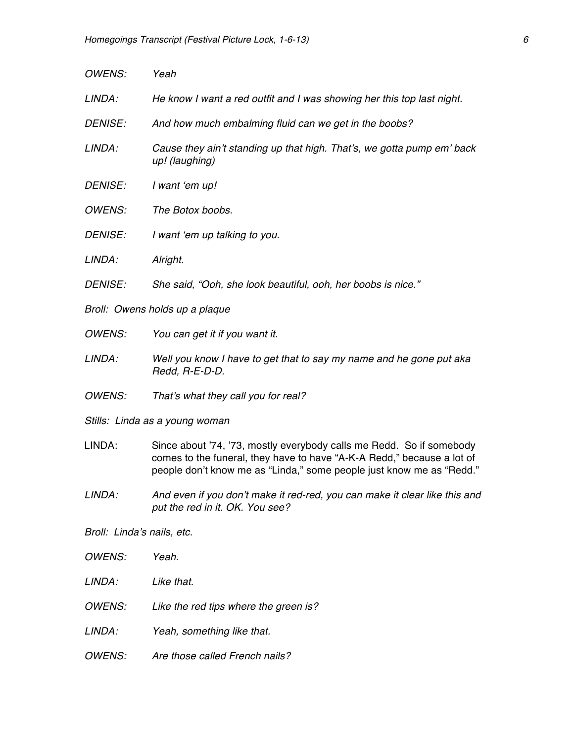| <b>OWENS:</b>                  | Yeah                                                                                                                                                                                                                   |
|--------------------------------|------------------------------------------------------------------------------------------------------------------------------------------------------------------------------------------------------------------------|
| LINDA:                         | He know I want a red outfit and I was showing her this top last night.                                                                                                                                                 |
| <b>DENISE:</b>                 | And how much embalming fluid can we get in the boobs?                                                                                                                                                                  |
| LINDA:                         | Cause they ain't standing up that high. That's, we gotta pump em' back<br>up! (laughing)                                                                                                                               |
| <b>DENISE:</b>                 | I want 'em up!                                                                                                                                                                                                         |
| <b>OWENS:</b>                  | The Botox boobs.                                                                                                                                                                                                       |
| <b>DENISE:</b>                 | I want 'em up talking to you.                                                                                                                                                                                          |
| LINDA:                         | Alright.                                                                                                                                                                                                               |
| <b>DENISE:</b>                 | She said, "Ooh, she look beautiful, ooh, her boobs is nice."                                                                                                                                                           |
| Broll: Owens holds up a plaque |                                                                                                                                                                                                                        |
| <b>OWENS:</b>                  | You can get it if you want it.                                                                                                                                                                                         |
| LINDA:                         | Well you know I have to get that to say my name and he gone put aka<br>Redd, R-E-D-D.                                                                                                                                  |
| <b>OWENS:</b>                  | That's what they call you for real?                                                                                                                                                                                    |
| Stills: Linda as a young woman |                                                                                                                                                                                                                        |
| LINDA:                         | Since about '74, '73, mostly everybody calls me Redd. So if somebody<br>comes to the funeral, they have to have "A-K-A Redd," because a lot of<br>people don't know me as "Linda," some people just know me as "Redd." |
| LINDA:                         | And even if you don't make it red-red, you can make it clear like this and<br>put the red in it. OK. You see?                                                                                                          |
| Broll: Linda's nails, etc.     |                                                                                                                                                                                                                        |
| <b>OWENS:</b>                  | Yeah.                                                                                                                                                                                                                  |
| LINDA:                         | Like that.                                                                                                                                                                                                             |

*OWENS: Like the red tips where the green is?*

*LINDA: Yeah, something like that.*

*OWENS: Are those called French nails?*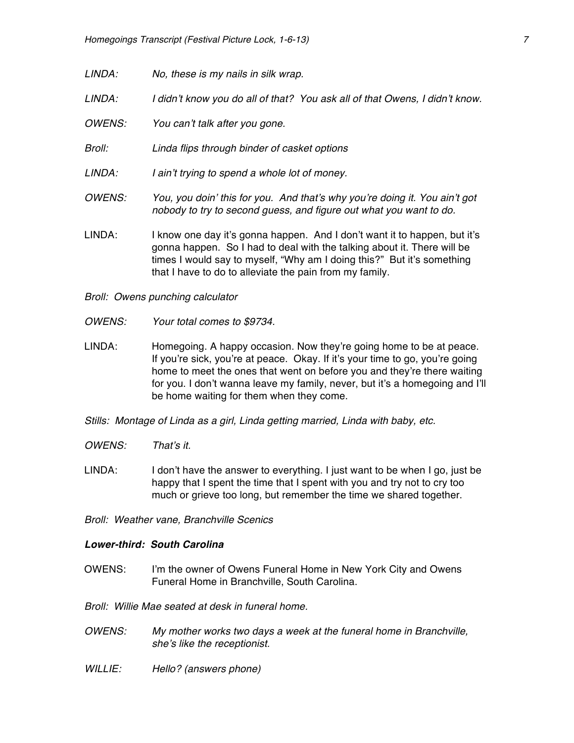- *LINDA: No, these is my nails in silk wrap.*
- *LINDA: I didn't know you do all of that? You ask all of that Owens, I didn't know.*
- *OWENS: You can't talk after you gone.*
- *Broll: Linda flips through binder of casket options*
- *LINDA: I ain't trying to spend a whole lot of money.*
- *OWENS: You, you doin' this for you. And that's why you're doing it. You ain't got nobody to try to second guess, and figure out what you want to do.*
- LINDA: I know one day it's gonna happen. And I don't want it to happen, but it's gonna happen. So I had to deal with the talking about it. There will be times I would say to myself, "Why am I doing this?" But it's something that I have to do to alleviate the pain from my family.
- *Broll: Owens punching calculator*
- *OWENS: Your total comes to \$9734.*
- LINDA: Homegoing. A happy occasion. Now they're going home to be at peace. If you're sick, you're at peace. Okay. If it's your time to go, you're going home to meet the ones that went on before you and they're there waiting for you. I don't wanna leave my family, never, but it's a homegoing and I'll be home waiting for them when they come.
- *Stills: Montage of Linda as a girl, Linda getting married, Linda with baby, etc.*
- *OWENS: That's it.*
- LINDA: I don't have the answer to everything. I just want to be when I go, just be happy that I spent the time that I spent with you and try not to cry too much or grieve too long, but remember the time we shared together.
- *Broll: Weather vane, Branchville Scenics*

### *Lower-third: South Carolina*

OWENS: I'm the owner of Owens Funeral Home in New York City and Owens Funeral Home in Branchville, South Carolina.

*Broll: Willie Mae seated at desk in funeral home.*

- *OWENS: My mother works two days a week at the funeral home in Branchville, she's like the receptionist.*
- *WILLIE: Hello? (answers phone)*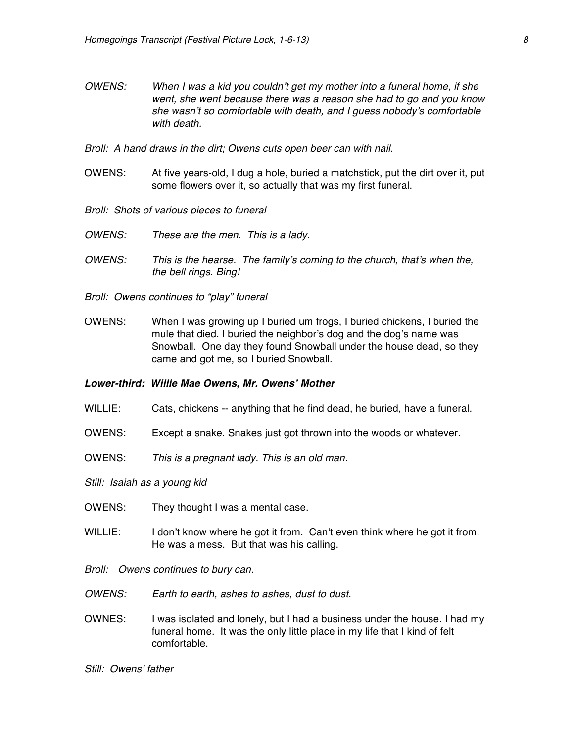- *OWENS: When I was a kid you couldn't get my mother into a funeral home, if she went, she went because there was a reason she had to go and you know she wasn't so comfortable with death, and I guess nobody's comfortable with death.*
- *Broll: A hand draws in the dirt; Owens cuts open beer can with nail.*
- OWENS: At five years-old, I dug a hole, buried a matchstick, put the dirt over it, put some flowers over it, so actually that was my first funeral.
- *Broll: Shots of various pieces to funeral*
- *OWENS: These are the men. This is a lady.*
- *OWENS: This is the hearse. The family's coming to the church, that's when the, the bell rings. Bing!*
- *Broll: Owens continues to "play" funeral*
- OWENS: When I was growing up I buried um frogs, I buried chickens, I buried the mule that died. I buried the neighbor's dog and the dog's name was Snowball. One day they found Snowball under the house dead, so they came and got me, so I buried Snowball.

## *Lower-third: Willie Mae Owens, Mr. Owens' Mother*

- WILLIE: Cats, chickens -- anything that he find dead, he buried, have a funeral.
- OWENS: Except a snake. Snakes just got thrown into the woods or whatever.
- OWENS: *This is a pregnant lady. This is an old man.*
- *Still: Isaiah as a young kid*
- OWENS: They thought I was a mental case.
- WILLIE: I don't know where he got it from. Can't even think where he got it from. He was a mess. But that was his calling.
- *Broll: Owens continues to bury can.*
- *OWENS: Earth to earth, ashes to ashes, dust to dust.*
- OWNES: I was isolated and lonely, but I had a business under the house. I had my funeral home. It was the only little place in my life that I kind of felt comfortable.

*Still: Owens' father*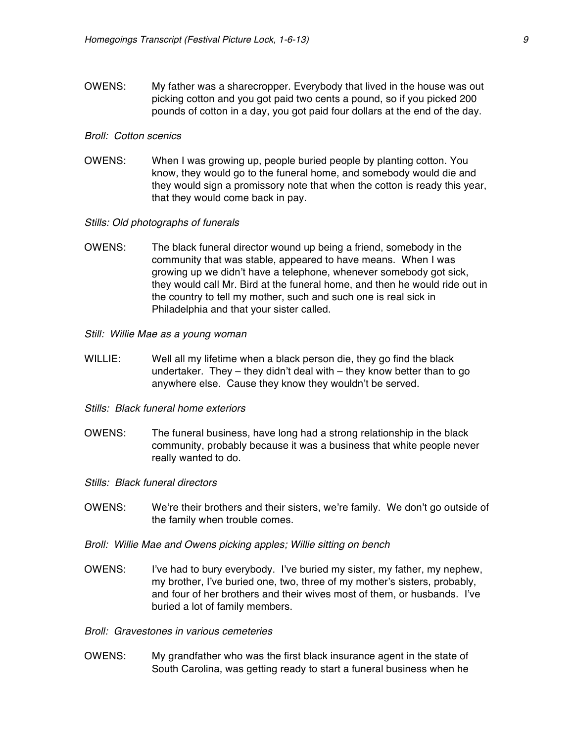OWENS: My father was a sharecropper. Everybody that lived in the house was out picking cotton and you got paid two cents a pound, so if you picked 200 pounds of cotton in a day, you got paid four dollars at the end of the day.

#### *Broll: Cotton scenics*

OWENS: When I was growing up, people buried people by planting cotton. You know, they would go to the funeral home, and somebody would die and they would sign a promissory note that when the cotton is ready this year, that they would come back in pay.

#### *Stills: Old photographs of funerals*

- OWENS: The black funeral director wound up being a friend, somebody in the community that was stable, appeared to have means. When I was growing up we didn't have a telephone, whenever somebody got sick, they would call Mr. Bird at the funeral home, and then he would ride out in the country to tell my mother, such and such one is real sick in Philadelphia and that your sister called.
- *Still: Willie Mae as a young woman*
- WILLIE: Well all my lifetime when a black person die, they go find the black undertaker. They – they didn't deal with – they know better than to go anywhere else. Cause they know they wouldn't be served.
- *Stills: Black funeral home exteriors*
- OWENS: The funeral business, have long had a strong relationship in the black community, probably because it was a business that white people never really wanted to do.
- *Stills: Black funeral directors*
- OWENS: We're their brothers and their sisters, we're family. We don't go outside of the family when trouble comes.
- *Broll: Willie Mae and Owens picking apples; Willie sitting on bench*
- OWENS: I've had to bury everybody. I've buried my sister, my father, my nephew, my brother, I've buried one, two, three of my mother's sisters, probably, and four of her brothers and their wives most of them, or husbands. I've buried a lot of family members.
- *Broll: Gravestones in various cemeteries*
- OWENS: My grandfather who was the first black insurance agent in the state of South Carolina, was getting ready to start a funeral business when he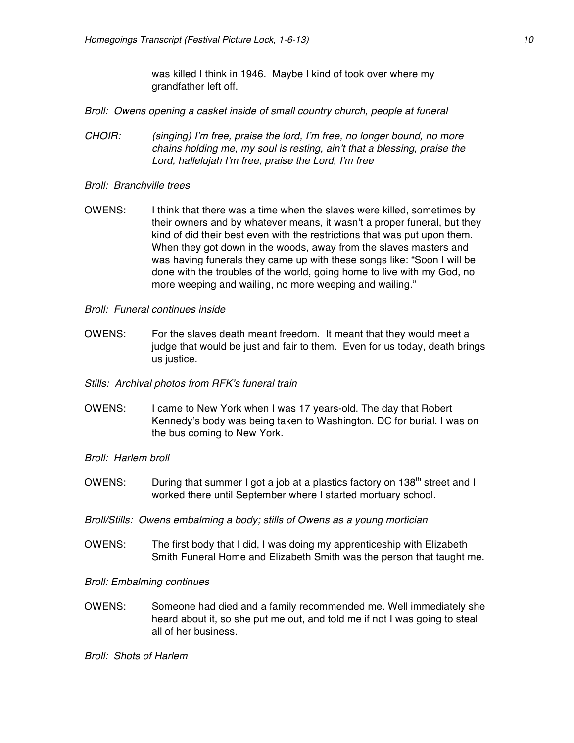was killed I think in 1946. Maybe I kind of took over where my grandfather left off.

*Broll: Owens opening a casket inside of small country church, people at funeral*

- *CHOIR: (singing) I'm free, praise the lord, I'm free, no longer bound, no more chains holding me, my soul is resting, ain't that a blessing, praise the Lord, hallelujah I'm free, praise the Lord, I'm free*
- *Broll: Branchville trees*
- OWENS: I think that there was a time when the slaves were killed, sometimes by their owners and by whatever means, it wasn't a proper funeral, but they kind of did their best even with the restrictions that was put upon them. When they got down in the woods, away from the slaves masters and was having funerals they came up with these songs like: "Soon I will be done with the troubles of the world, going home to live with my God, no more weeping and wailing, no more weeping and wailing."
- *Broll: Funeral continues inside*
- OWENS: For the slaves death meant freedom. It meant that they would meet a judge that would be just and fair to them. Even for us today, death brings us justice.
- *Stills: Archival photos from RFK's funeral train*
- OWENS: I came to New York when I was 17 years-old. The day that Robert Kennedy's body was being taken to Washington, DC for burial, I was on the bus coming to New York.
- *Broll: Harlem broll*
- OWENS: During that summer I got a job at a plastics factory on  $138<sup>th</sup>$  street and I worked there until September where I started mortuary school.
- *Broll/Stills: Owens embalming a body; stills of Owens as a young mortician*
- OWENS: The first body that I did, I was doing my apprenticeship with Elizabeth Smith Funeral Home and Elizabeth Smith was the person that taught me.

### *Broll: Embalming continues*

OWENS: Someone had died and a family recommended me. Well immediately she heard about it, so she put me out, and told me if not I was going to steal all of her business.

*Broll: Shots of Harlem*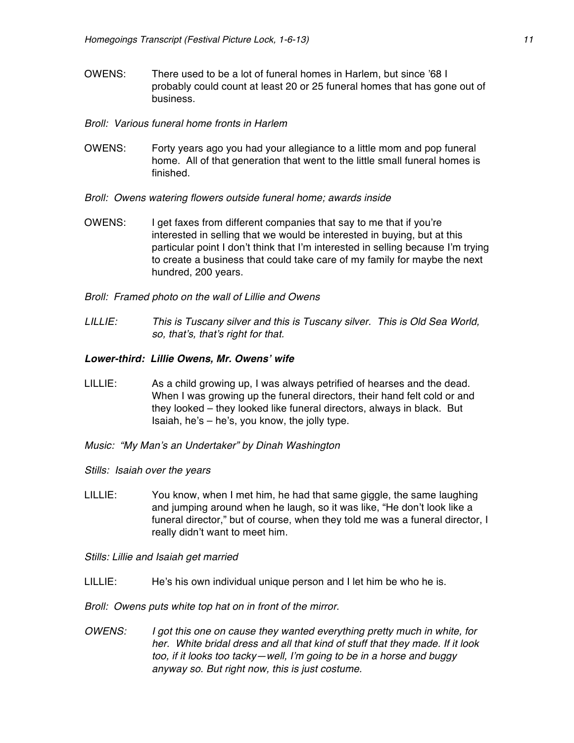- OWENS: There used to be a lot of funeral homes in Harlem, but since '68 I probably could count at least 20 or 25 funeral homes that has gone out of business.
- *Broll: Various funeral home fronts in Harlem*
- OWENS: Forty years ago you had your allegiance to a little mom and pop funeral home. All of that generation that went to the little small funeral homes is finished.
- *Broll: Owens watering flowers outside funeral home; awards inside*
- OWENS: I get faxes from different companies that say to me that if you're interested in selling that we would be interested in buying, but at this particular point I don't think that I'm interested in selling because I'm trying to create a business that could take care of my family for maybe the next hundred, 200 years.
- *Broll: Framed photo on the wall of Lillie and Owens*
- *LILLIE: This is Tuscany silver and this is Tuscany silver. This is Old Sea World, so, that's, that's right for that.*

## *Lower-third: Lillie Owens, Mr. Owens' wife*

- LILLIE: As a child growing up, I was always petrified of hearses and the dead. When I was growing up the funeral directors, their hand felt cold or and they looked – they looked like funeral directors, always in black. But Isaiah, he's – he's, you know, the jolly type.
- *Music: "My Man's an Undertaker" by Dinah Washington*
- *Stills: Isaiah over the years*
- LILLIE: You know, when I met him, he had that same giggle, the same laughing and jumping around when he laugh, so it was like, "He don't look like a funeral director," but of course, when they told me was a funeral director, I really didn't want to meet him.

*Stills: Lillie and Isaiah get married*

LILLIE: He's his own individual unique person and I let him be who he is.

*Broll: Owens puts white top hat on in front of the mirror.*

*OWENS: I got this one on cause they wanted everything pretty much in white, for her. White bridal dress and all that kind of stuff that they made. If it look too, if it looks too tacky—well, I'm going to be in a horse and buggy anyway so. But right now, this is just costume.*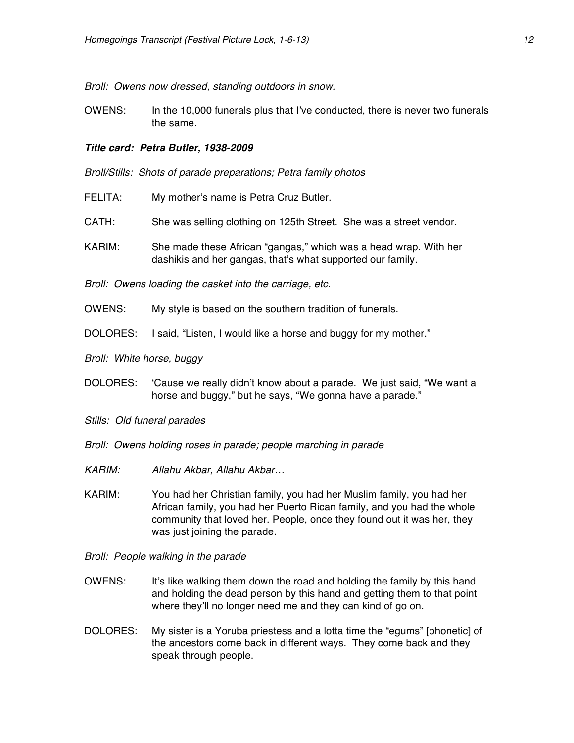*Broll: Owens now dressed, standing outdoors in snow.*

OWENS: In the 10,000 funerals plus that I've conducted, there is never two funerals the same.

#### *Title card: Petra Butler, 1938-2009*

*Broll/Stills: Shots of parade preparations; Petra family photos*

- FELITA: My mother's name is Petra Cruz Butler.
- CATH: She was selling clothing on 125th Street. She was a street vendor.
- KARIM: She made these African "gangas," which was a head wrap. With her dashikis and her gangas, that's what supported our family.

*Broll: Owens loading the casket into the carriage, etc.*

- OWENS: My style is based on the southern tradition of funerals.
- DOLORES: I said, "Listen, I would like a horse and buggy for my mother."

*Broll: White horse, buggy*

- DOLORES: 'Cause we really didn't know about a parade. We just said, "We want a horse and buggy," but he says, "We gonna have a parade."
- *Stills: Old funeral parades*
- *Broll: Owens holding roses in parade; people marching in parade*
- *KARIM: Allahu Akbar, Allahu Akbar…*
- KARIM: You had her Christian family, you had her Muslim family, you had her African family, you had her Puerto Rican family, and you had the whole community that loved her. People, once they found out it was her, they was just joining the parade.
- *Broll: People walking in the parade*
- OWENS: It's like walking them down the road and holding the family by this hand and holding the dead person by this hand and getting them to that point where they'll no longer need me and they can kind of go on.
- DOLORES: My sister is a Yoruba priestess and a lotta time the "egums" [phonetic] of the ancestors come back in different ways. They come back and they speak through people.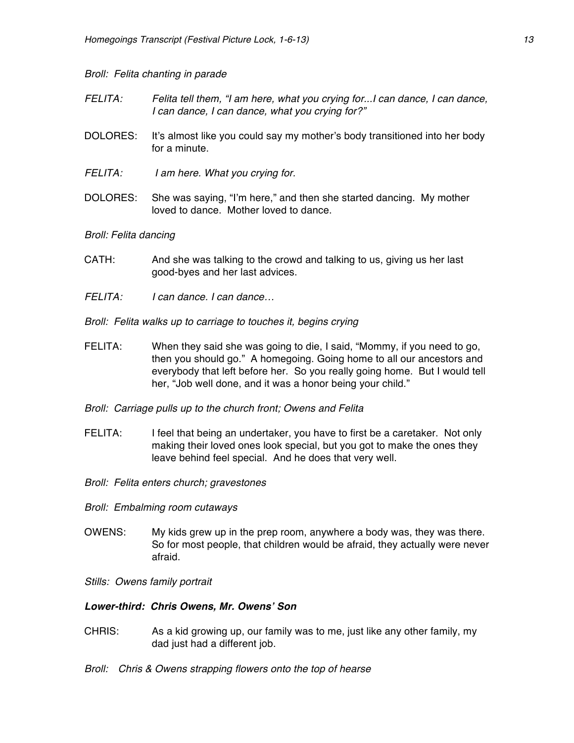## *Broll: Felita chanting in parade*

- *FELITA: Felita tell them, "I am here, what you crying for...I can dance, I can dance, I can dance, I can dance, what you crying for?"*
- DOLORES: It's almost like you could say my mother's body transitioned into her body for a minute.
- *FELITA: I am here. What you crying for.*
- DOLORES: She was saying, "I'm here," and then she started dancing. My mother loved to dance. Mother loved to dance.

## *Broll: Felita dancing*

- CATH: And she was talking to the crowd and talking to us, giving us her last good-byes and her last advices.
- *FELITA: I can dance. I can dance…*
- *Broll: Felita walks up to carriage to touches it, begins crying*
- FELITA: When they said she was going to die, I said, "Mommy, if you need to go, then you should go." A homegoing. Going home to all our ancestors and everybody that left before her. So you really going home. But I would tell her, "Job well done, and it was a honor being your child."
- *Broll: Carriage pulls up to the church front; Owens and Felita*
- FELITA: I feel that being an undertaker, you have to first be a caretaker. Not only making their loved ones look special, but you got to make the ones they leave behind feel special. And he does that very well.
- *Broll: Felita enters church; gravestones*
- *Broll: Embalming room cutaways*
- OWENS: My kids grew up in the prep room, anywhere a body was, they was there. So for most people, that children would be afraid, they actually were never afraid.
- *Stills: Owens family portrait*

### *Lower-third: Chris Owens, Mr. Owens' Son*

- CHRIS: As a kid growing up, our family was to me, just like any other family, my dad just had a different job.
- *Broll: Chris & Owens strapping flowers onto the top of hearse*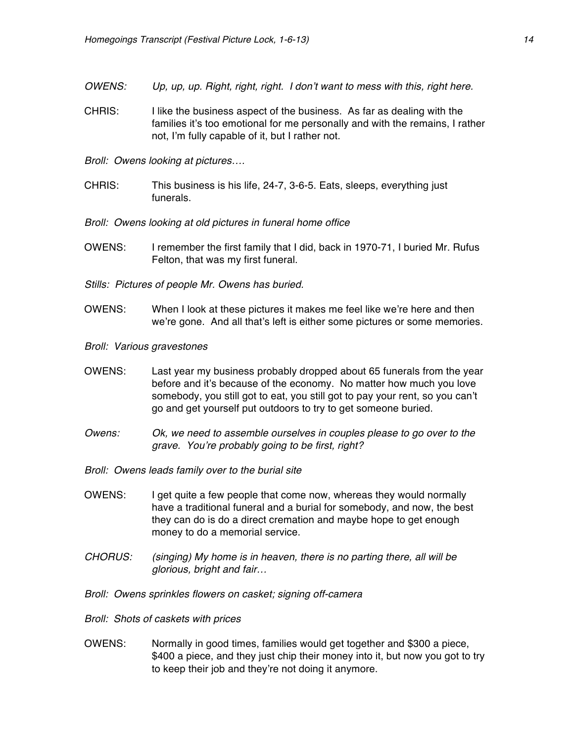- *OWENS: Up, up, up. Right, right, right. I don't want to mess with this, right here.*
- CHRIS: I like the business aspect of the business. As far as dealing with the families it's too emotional for me personally and with the remains, I rather not, I'm fully capable of it, but I rather not.
- *Broll: Owens looking at pictures….*
- CHRIS: This business is his life, 24-7, 3-6-5. Eats, sleeps, everything just funerals.
- *Broll: Owens looking at old pictures in funeral home office*
- OWENS: I remember the first family that I did, back in 1970-71, I buried Mr. Rufus Felton, that was my first funeral.
- *Stills: Pictures of people Mr. Owens has buried.*
- OWENS: When I look at these pictures it makes me feel like we're here and then we're gone. And all that's left is either some pictures or some memories.
- *Broll: Various gravestones*
- OWENS: Last year my business probably dropped about 65 funerals from the year before and it's because of the economy. No matter how much you love somebody, you still got to eat, you still got to pay your rent, so you can't go and get yourself put outdoors to try to get someone buried.
- *Owens: Ok, we need to assemble ourselves in couples please to go over to the grave. You're probably going to be first, right?*
- *Broll: Owens leads family over to the burial site*
- OWENS: I get quite a few people that come now, whereas they would normally have a traditional funeral and a burial for somebody, and now, the best they can do is do a direct cremation and maybe hope to get enough money to do a memorial service.
- *CHORUS: (singing) My home is in heaven, there is no parting there, all will be glorious, bright and fair…*
- *Broll: Owens sprinkles flowers on casket; signing off-camera*
- *Broll: Shots of caskets with prices*
- OWENS: Normally in good times, families would get together and \$300 a piece, \$400 a piece, and they just chip their money into it, but now you got to try to keep their job and they're not doing it anymore.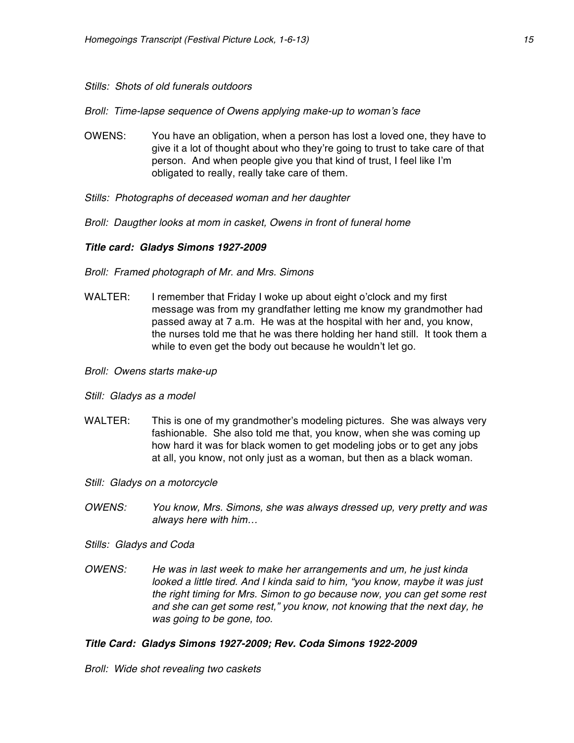## *Stills: Shots of old funerals outdoors*

*Broll: Time-lapse sequence of Owens applying make-up to woman's face*

- OWENS: You have an obligation, when a person has lost a loved one, they have to give it a lot of thought about who they're going to trust to take care of that person. And when people give you that kind of trust, I feel like I'm obligated to really, really take care of them.
- *Stills: Photographs of deceased woman and her daughter*
- *Broll: Daugther looks at mom in casket, Owens in front of funeral home*

# *Title card: Gladys Simons 1927-2009*

- *Broll: Framed photograph of Mr. and Mrs. Simons*
- WALTER: I remember that Friday I woke up about eight o'clock and my first message was from my grandfather letting me know my grandmother had passed away at 7 a.m. He was at the hospital with her and, you know, the nurses told me that he was there holding her hand still. It took them a while to even get the body out because he wouldn't let go.
- *Broll: Owens starts make-up*
- *Still: Gladys as a model*
- WALTER: This is one of my grandmother's modeling pictures. She was always very fashionable. She also told me that, you know, when she was coming up how hard it was for black women to get modeling jobs or to get any jobs at all, you know, not only just as a woman, but then as a black woman.
- *Still: Gladys on a motorcycle*
- *OWENS: You know, Mrs. Simons, she was always dressed up, very pretty and was always here with him…*
- *Stills: Gladys and Coda*
- *OWENS: He was in last week to make her arrangements and um, he just kinda looked a little tired. And I kinda said to him, "you know, maybe it was just the right timing for Mrs. Simon to go because now, you can get some rest and she can get some rest," you know, not knowing that the next day, he was going to be gone, too.*

## *Title Card: Gladys Simons 1927-2009; Rev. Coda Simons 1922-2009*

*Broll: Wide shot revealing two caskets*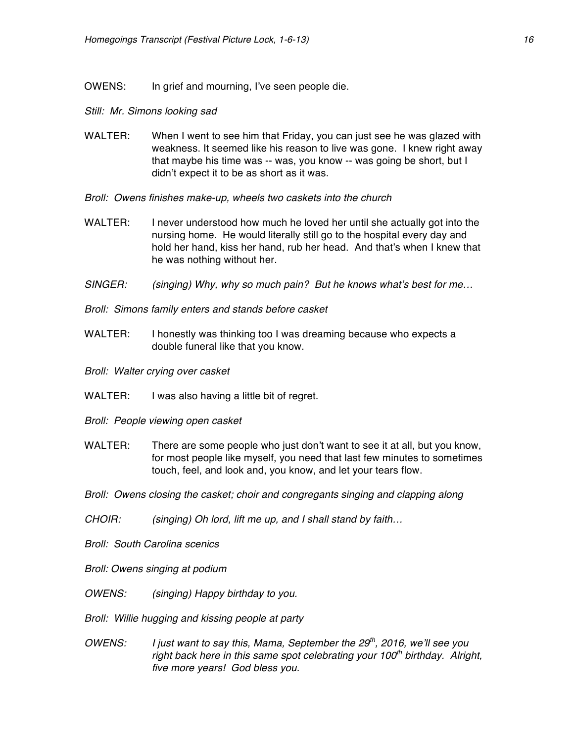OWENS: In grief and mourning, I've seen people die.

#### *Still: Mr. Simons looking sad*

- WALTER: When I went to see him that Friday, you can just see he was glazed with weakness. It seemed like his reason to live was gone. I knew right away that maybe his time was -- was, you know -- was going be short, but I didn't expect it to be as short as it was.
- *Broll: Owens finishes make-up, wheels two caskets into the church*
- WALTER: I never understood how much he loved her until she actually got into the nursing home. He would literally still go to the hospital every day and hold her hand, kiss her hand, rub her head. And that's when I knew that he was nothing without her.
- *SINGER: (singing) Why, why so much pain? But he knows what's best for me…*
- *Broll: Simons family enters and stands before casket*
- WALTER: I honestly was thinking too I was dreaming because who expects a double funeral like that you know.
- *Broll: Walter crying over casket*
- WALTER: I was also having a little bit of regret.
- *Broll: People viewing open casket*
- WALTER: There are some people who just don't want to see it at all, but you know, for most people like myself, you need that last few minutes to sometimes touch, feel, and look and, you know, and let your tears flow.
- *Broll: Owens closing the casket; choir and congregants singing and clapping along*
- *CHOIR: (singing) Oh lord, lift me up, and I shall stand by faith…*
- *Broll: South Carolina scenics*

*Broll: Owens singing at podium*

- *OWENS: (singing) Happy birthday to you.*
- *Broll: Willie hugging and kissing people at party*
- *OWENS: I just want to say this, Mama, September the 29th, 2016, we'll see you right back here in this same spot celebrating your 100th birthday. Alright, five more years! God bless you.*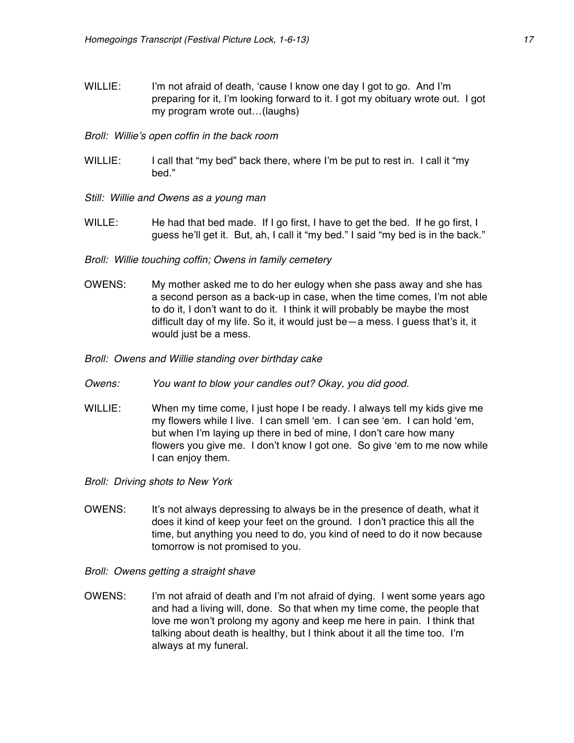- WILLIE: I'm not afraid of death, 'cause I know one day I got to go. And I'm preparing for it, I'm looking forward to it. I got my obituary wrote out. I got my program wrote out…(laughs)
- *Broll: Willie's open coffin in the back room*
- WILLIE: I call that "my bed" back there, where I'm be put to rest in. I call it "my bed."
- *Still: Willie and Owens as a young man*
- WILLE: He had that bed made. If I go first, I have to get the bed. If he go first, I guess he'll get it. But, ah, I call it "my bed." I said "my bed is in the back."
- *Broll: Willie touching coffin; Owens in family cemetery*
- OWENS: My mother asked me to do her eulogy when she pass away and she has a second person as a back-up in case, when the time comes, I'm not able to do it, I don't want to do it. I think it will probably be maybe the most difficult day of my life. So it, it would just be—a mess. I guess that's it, it would just be a mess.
- *Broll: Owens and Willie standing over birthday cake*
- *Owens: You want to blow your candles out? Okay, you did good.*
- WILLIE: When my time come, I just hope I be ready. I always tell my kids give me my flowers while I live. I can smell 'em. I can see 'em. I can hold 'em, but when I'm laying up there in bed of mine, I don't care how many flowers you give me. I don't know I got one. So give 'em to me now while I can enjoy them.
- *Broll: Driving shots to New York*
- OWENS: It's not always depressing to always be in the presence of death, what it does it kind of keep your feet on the ground. I don't practice this all the time, but anything you need to do, you kind of need to do it now because tomorrow is not promised to you.
- *Broll: Owens getting a straight shave*
- OWENS: I'm not afraid of death and I'm not afraid of dying. I went some years ago and had a living will, done. So that when my time come, the people that love me won't prolong my agony and keep me here in pain. I think that talking about death is healthy, but I think about it all the time too. I'm always at my funeral.